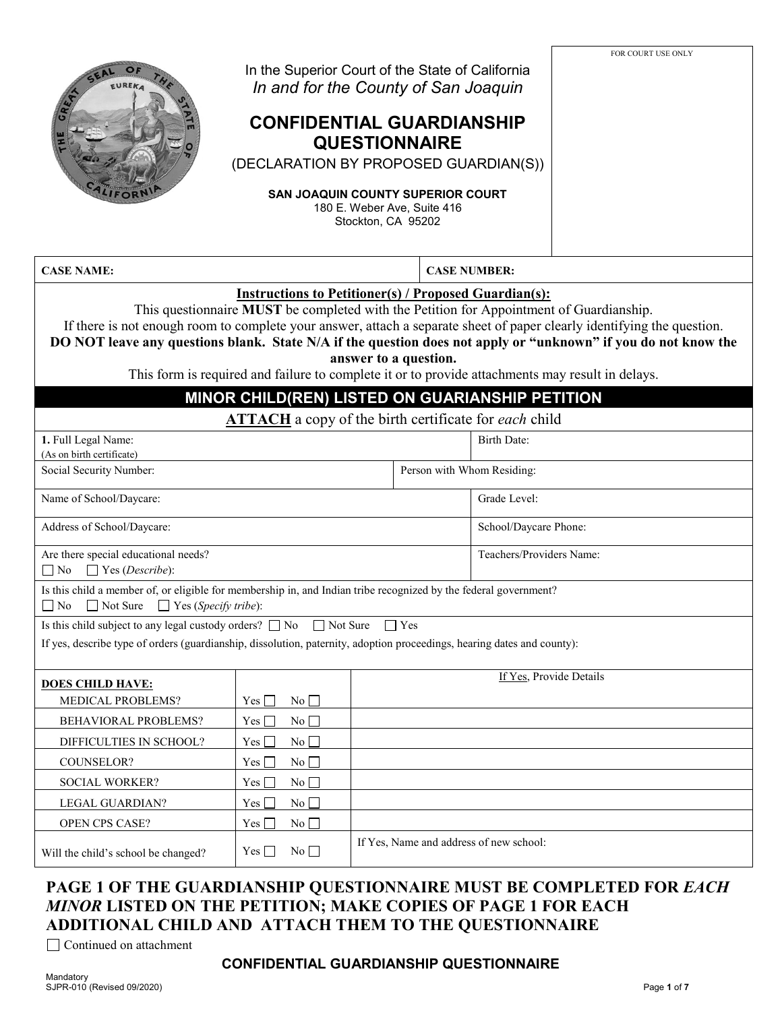| EUREKA                                                                                                                                                                                                                                                                                                                                                                                                                                                                                                                            | In the Superior Court of the State of California<br>In and for the County of San Joaquin<br><b>CONFIDENTIAL GUARDIANSHIP</b><br>(DECLARATION BY PROPOSED GUARDIAN(S))<br><b>SAN JOAQUIN COUNTY SUPERIOR COURT</b> | Stockton, CA 95202 | <b>QUESTIONNAIRE</b><br>180 E. Weber Ave, Suite 416 |                          | FOR COURT USE ONLY |  |
|-----------------------------------------------------------------------------------------------------------------------------------------------------------------------------------------------------------------------------------------------------------------------------------------------------------------------------------------------------------------------------------------------------------------------------------------------------------------------------------------------------------------------------------|-------------------------------------------------------------------------------------------------------------------------------------------------------------------------------------------------------------------|--------------------|-----------------------------------------------------|--------------------------|--------------------|--|
| <b>CASE NAME:</b>                                                                                                                                                                                                                                                                                                                                                                                                                                                                                                                 |                                                                                                                                                                                                                   |                    | <b>CASE NUMBER:</b>                                 |                          |                    |  |
| <b>Instructions to Petitioner(s) / Proposed Guardian(s):</b><br>This questionnaire MUST be completed with the Petition for Appointment of Guardianship.<br>If there is not enough room to complete your answer, attach a separate sheet of paper clearly identifying the question.<br>DO NOT leave any questions blank. State N/A if the question does not apply or "unknown" if you do not know the<br>answer to a question.<br>This form is required and failure to complete it or to provide attachments may result in delays. |                                                                                                                                                                                                                   |                    |                                                     |                          |                    |  |
|                                                                                                                                                                                                                                                                                                                                                                                                                                                                                                                                   | MINOR CHILD(REN) LISTED ON GUARIANSHIP PETITION                                                                                                                                                                   |                    |                                                     |                          |                    |  |
|                                                                                                                                                                                                                                                                                                                                                                                                                                                                                                                                   | <b>ATTACH</b> a copy of the birth certificate for each child                                                                                                                                                      |                    |                                                     |                          |                    |  |
| 1. Full Legal Name:                                                                                                                                                                                                                                                                                                                                                                                                                                                                                                               |                                                                                                                                                                                                                   |                    |                                                     | <b>Birth Date:</b>       |                    |  |
| (As on birth certificate)                                                                                                                                                                                                                                                                                                                                                                                                                                                                                                         |                                                                                                                                                                                                                   |                    |                                                     |                          |                    |  |
|                                                                                                                                                                                                                                                                                                                                                                                                                                                                                                                                   | Social Security Number:<br>Person with Whom Residing:                                                                                                                                                             |                    |                                                     |                          |                    |  |
| Name of School/Daycare:                                                                                                                                                                                                                                                                                                                                                                                                                                                                                                           |                                                                                                                                                                                                                   |                    |                                                     | Grade Level:             |                    |  |
| Address of School/Daycare:                                                                                                                                                                                                                                                                                                                                                                                                                                                                                                        |                                                                                                                                                                                                                   |                    | School/Daycare Phone:                               |                          |                    |  |
| Are there special educational needs?                                                                                                                                                                                                                                                                                                                                                                                                                                                                                              |                                                                                                                                                                                                                   |                    |                                                     | Teachers/Providers Name: |                    |  |
| $\Box$ Yes (Describe):<br>$\Box$ No                                                                                                                                                                                                                                                                                                                                                                                                                                                                                               |                                                                                                                                                                                                                   |                    |                                                     |                          |                    |  |
| Is this child a member of, or eligible for membership in, and Indian tribe recognized by the federal government?<br>$\Box$ No<br>$\Box$ Not Sure $\Box$ Yes (Specify tribe):                                                                                                                                                                                                                                                                                                                                                      |                                                                                                                                                                                                                   |                    |                                                     |                          |                    |  |
| Is this child subject to any legal custody orders? $\Box$ No $\Box$ Not Sure                                                                                                                                                                                                                                                                                                                                                                                                                                                      |                                                                                                                                                                                                                   | $\Box$ Yes         |                                                     |                          |                    |  |
| If yes, describe type of orders (guardianship, dissolution, paternity, adoption proceedings, hearing dates and county):                                                                                                                                                                                                                                                                                                                                                                                                           |                                                                                                                                                                                                                   |                    |                                                     |                          |                    |  |
| <b>DOES CHILD HAVE:</b>                                                                                                                                                                                                                                                                                                                                                                                                                                                                                                           |                                                                                                                                                                                                                   |                    |                                                     | If Yes, Provide Details  |                    |  |
| MEDICAL PROBLEMS?                                                                                                                                                                                                                                                                                                                                                                                                                                                                                                                 | No<br>Yes                                                                                                                                                                                                         |                    |                                                     |                          |                    |  |
| BEHAVIORAL PROBLEMS?                                                                                                                                                                                                                                                                                                                                                                                                                                                                                                              | No<br>$Yes \Box$                                                                                                                                                                                                  |                    |                                                     |                          |                    |  |
| DIFFICULTIES IN SCHOOL?<br>No<br>$Yes \Box$                                                                                                                                                                                                                                                                                                                                                                                                                                                                                       |                                                                                                                                                                                                                   |                    |                                                     |                          |                    |  |
| COUNSELOR?<br>No<br>$Yes$ $\Box$                                                                                                                                                                                                                                                                                                                                                                                                                                                                                                  |                                                                                                                                                                                                                   |                    |                                                     |                          |                    |  |
| SOCIAL WORKER?<br>No<br>$Yes \Box$                                                                                                                                                                                                                                                                                                                                                                                                                                                                                                |                                                                                                                                                                                                                   |                    |                                                     |                          |                    |  |
| No<br>LEGAL GUARDIAN?<br>$Yes \Box$                                                                                                                                                                                                                                                                                                                                                                                                                                                                                               |                                                                                                                                                                                                                   |                    |                                                     |                          |                    |  |
| OPEN CPS CASE?<br>No<br>$Yes \Box$                                                                                                                                                                                                                                                                                                                                                                                                                                                                                                |                                                                                                                                                                                                                   |                    |                                                     |                          |                    |  |
| If Yes, Name and address of new school:<br>$No$ $\Box$<br>$Yes \Box$<br>Will the child's school be changed?                                                                                                                                                                                                                                                                                                                                                                                                                       |                                                                                                                                                                                                                   |                    |                                                     |                          |                    |  |

# **PAGE 1 OF THE GUARDIANSHIP QUESTIONNAIRE MUST BE COMPLETED FOR** *EACH MINOR* **LISTED ON THE PETITION; MAKE COPIES OF PAGE 1 FOR EACH ADDITIONAL CHILD AND ATTACH THEM TO THE QUESTIONNAIRE**

Continued on attachment

#### **CONFIDENTIAL GUARDIANSHIP QUESTIONNAIRE**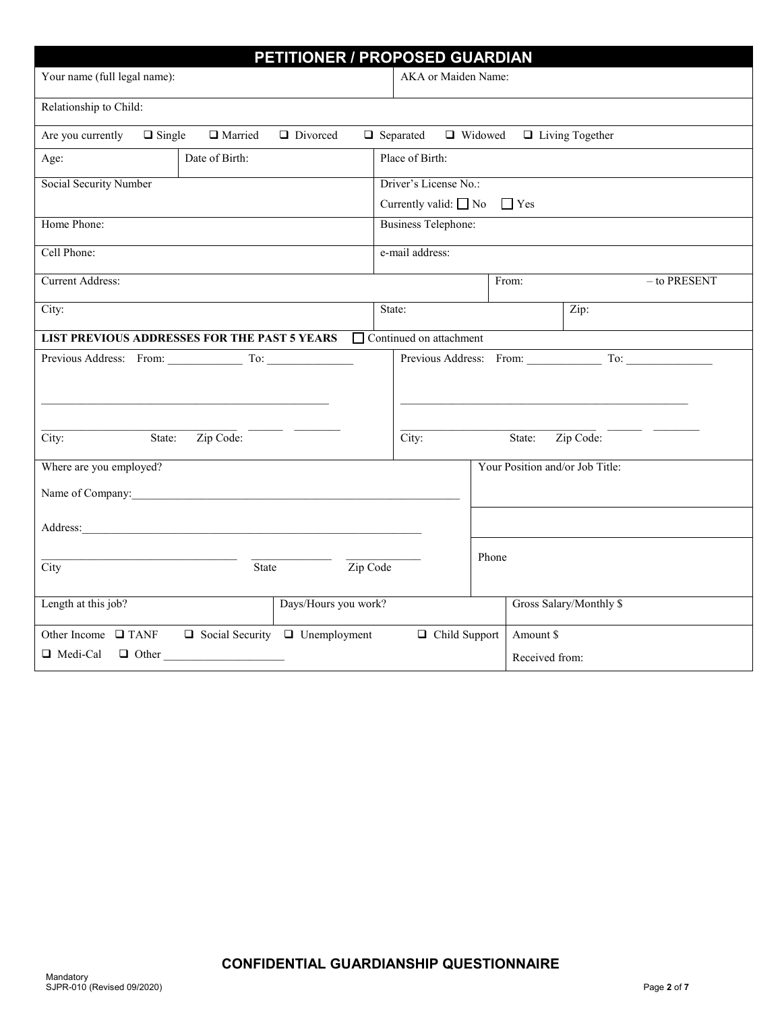|                                                                                           | PETITIONER / PROPOSED GUARDIAN                                      |  |  |  |
|-------------------------------------------------------------------------------------------|---------------------------------------------------------------------|--|--|--|
| Your name (full legal name):                                                              | AKA or Maiden Name:                                                 |  |  |  |
| Relationship to Child:                                                                    |                                                                     |  |  |  |
| Are you currently $\Box$ Single $\Box$ Married $\Box$ Divorced                            | $\Box$ Separated $\Box$ Widowed $\Box$ Living Together              |  |  |  |
| Date of Birth:<br>Age:                                                                    | Place of Birth:                                                     |  |  |  |
| Social Security Number                                                                    | Driver's License No.:                                               |  |  |  |
| Home Phone:                                                                               | Currently valid: $\Box$ No $\Box$ Yes<br><b>Business Telephone:</b> |  |  |  |
|                                                                                           |                                                                     |  |  |  |
| Cell Phone:                                                                               | e-mail address:                                                     |  |  |  |
| <b>Current Address:</b>                                                                   | $-$ to PRESENT<br>From:                                             |  |  |  |
| City:                                                                                     | State:<br>Zip:                                                      |  |  |  |
| <b>LIST PREVIOUS ADDRESSES FOR THE PAST 5 YEARS</b>                                       | □ Continued on attachment                                           |  |  |  |
| Previous Address: From: To: To:<br>State: Zip Code:<br>State: Zip Code:<br>City:<br>City: |                                                                     |  |  |  |
| Where are you employed?<br>Name of Company:                                               | Your Position and/or Job Title:                                     |  |  |  |
|                                                                                           |                                                                     |  |  |  |
| State<br>City                                                                             | Phone<br>Zip Code                                                   |  |  |  |
| Days/Hours you work?<br>Length at this job?                                               | Gross Salary/Monthly \$                                             |  |  |  |
| Other Income $\Box$ TANF $\Box$ Social Security $\Box$ Unemployment                       | $\Box$ Child Support<br>Amount \$                                   |  |  |  |
| $\Box$ Medi-Cal $\Box$ Other                                                              | Received from:                                                      |  |  |  |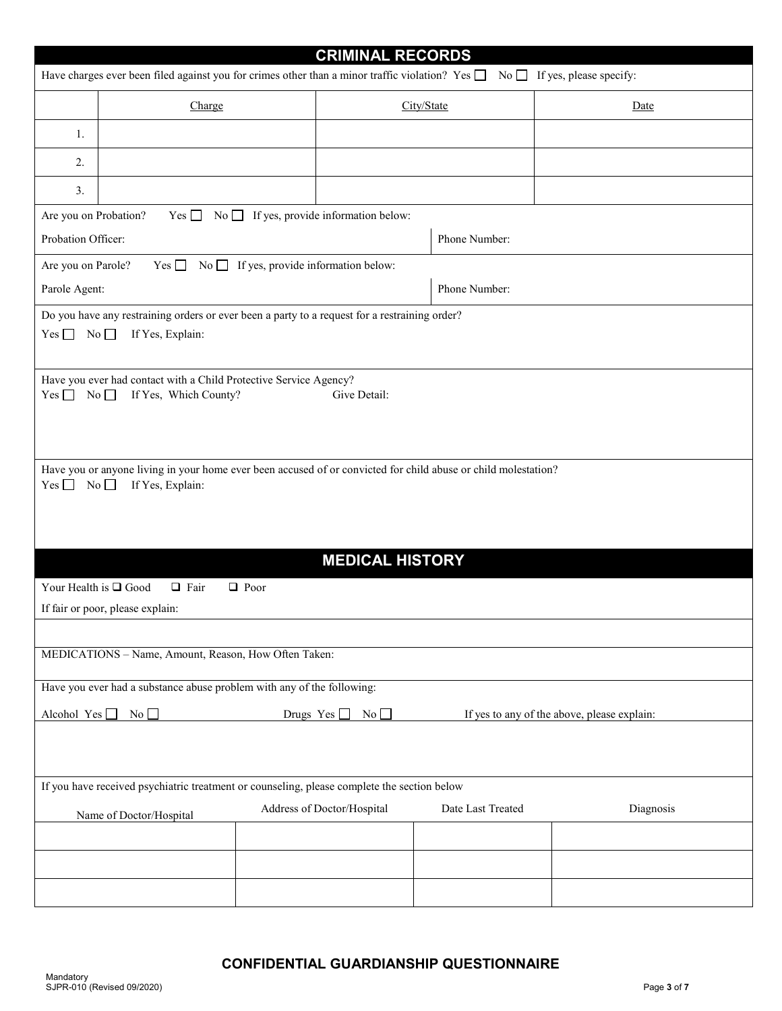| <b>CRIMINAL RECORDS</b>                                                                                                                    |                                                                                                                                    |                                              |                   |           |  |  |
|--------------------------------------------------------------------------------------------------------------------------------------------|------------------------------------------------------------------------------------------------------------------------------------|----------------------------------------------|-------------------|-----------|--|--|
| Have charges ever been filed against you for crimes other than a minor traffic violation? Yes $\Box$<br>$No \t{I}$ If yes, please specify: |                                                                                                                                    |                                              |                   |           |  |  |
|                                                                                                                                            | Charge                                                                                                                             |                                              | City/State        | Date      |  |  |
| 1.                                                                                                                                         |                                                                                                                                    |                                              |                   |           |  |  |
| 2.                                                                                                                                         |                                                                                                                                    |                                              |                   |           |  |  |
| 3.                                                                                                                                         |                                                                                                                                    |                                              |                   |           |  |  |
| Are you on Probation?                                                                                                                      | Yes $\Box$                                                                                                                         | No $\Box$ If yes, provide information below: |                   |           |  |  |
| Probation Officer:                                                                                                                         |                                                                                                                                    |                                              | Phone Number:     |           |  |  |
| Are you on Parole?                                                                                                                         |                                                                                                                                    |                                              |                   |           |  |  |
| Parole Agent:                                                                                                                              |                                                                                                                                    |                                              | Phone Number:     |           |  |  |
|                                                                                                                                            | Do you have any restraining orders or ever been a party to a request for a restraining order?                                      |                                              |                   |           |  |  |
| $Yes \Box No \Box$                                                                                                                         | If Yes, Explain:                                                                                                                   |                                              |                   |           |  |  |
|                                                                                                                                            |                                                                                                                                    |                                              |                   |           |  |  |
| $Yes \Box No \Box$                                                                                                                         | Have you ever had contact with a Child Protective Service Agency?<br>If Yes, Which County?                                         | Give Detail:                                 |                   |           |  |  |
|                                                                                                                                            |                                                                                                                                    |                                              |                   |           |  |  |
|                                                                                                                                            |                                                                                                                                    |                                              |                   |           |  |  |
|                                                                                                                                            |                                                                                                                                    |                                              |                   |           |  |  |
| $Yes \Box No \Box$                                                                                                                         | Have you or anyone living in your home ever been accused of or convicted for child abuse or child molestation?<br>If Yes, Explain: |                                              |                   |           |  |  |
|                                                                                                                                            |                                                                                                                                    |                                              |                   |           |  |  |
|                                                                                                                                            |                                                                                                                                    |                                              |                   |           |  |  |
|                                                                                                                                            |                                                                                                                                    |                                              |                   |           |  |  |
| <b>MEDICAL HISTORY</b>                                                                                                                     |                                                                                                                                    |                                              |                   |           |  |  |
| Your Health is $\Box$ Good<br>$\Box$ Fair<br>$\Box$ Poor                                                                                   |                                                                                                                                    |                                              |                   |           |  |  |
| If fair or poor, please explain:                                                                                                           |                                                                                                                                    |                                              |                   |           |  |  |
| MEDICATIONS - Name, Amount, Reason, How Often Taken:                                                                                       |                                                                                                                                    |                                              |                   |           |  |  |
|                                                                                                                                            |                                                                                                                                    |                                              |                   |           |  |  |
| Have you ever had a substance abuse problem with any of the following:                                                                     |                                                                                                                                    |                                              |                   |           |  |  |
| Alcohol Yes <sup>[1]</sup><br>No<br>Drugs $Yes \Box No \Box$<br>If yes to any of the above, please explain:                                |                                                                                                                                    |                                              |                   |           |  |  |
|                                                                                                                                            |                                                                                                                                    |                                              |                   |           |  |  |
|                                                                                                                                            |                                                                                                                                    |                                              |                   |           |  |  |
| If you have received psychiatric treatment or counseling, please complete the section below                                                |                                                                                                                                    |                                              |                   |           |  |  |
|                                                                                                                                            | Name of Doctor/Hospital                                                                                                            | Address of Doctor/Hospital                   | Date Last Treated | Diagnosis |  |  |
|                                                                                                                                            |                                                                                                                                    |                                              |                   |           |  |  |
|                                                                                                                                            |                                                                                                                                    |                                              |                   |           |  |  |
|                                                                                                                                            |                                                                                                                                    |                                              |                   |           |  |  |
|                                                                                                                                            |                                                                                                                                    |                                              |                   |           |  |  |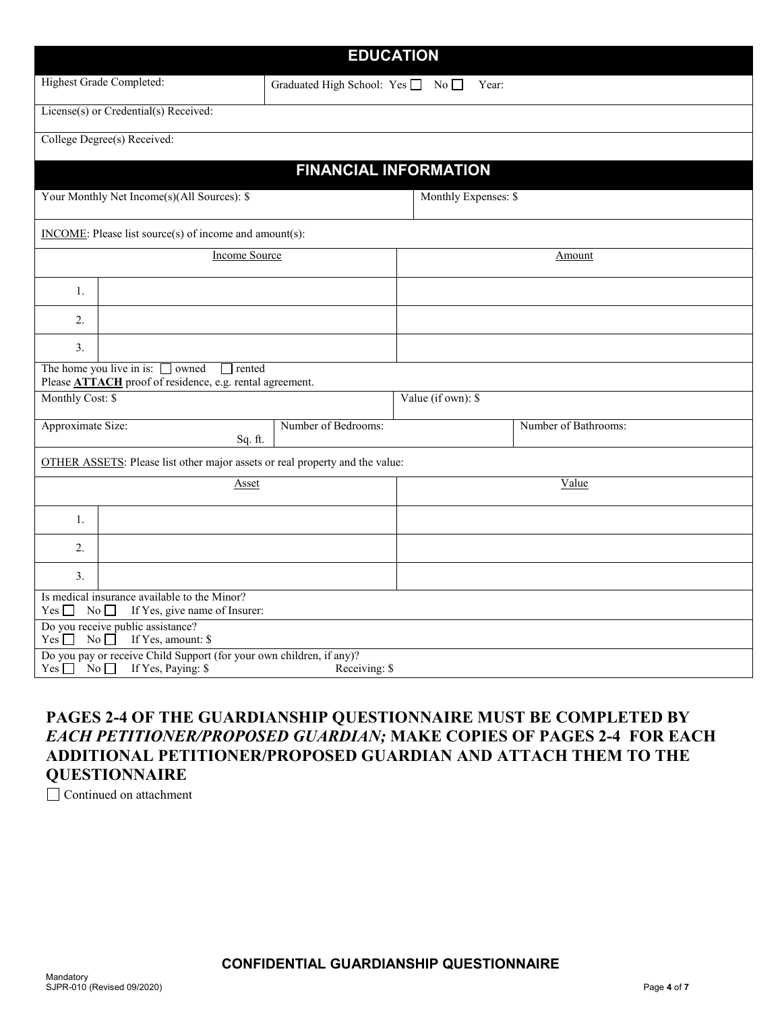|                                                                                                                   |                                                                                                                       | <b>EDUCATION</b>             |                      |                      |  |  |  |
|-------------------------------------------------------------------------------------------------------------------|-----------------------------------------------------------------------------------------------------------------------|------------------------------|----------------------|----------------------|--|--|--|
| Highest Grade Completed:<br>Graduated High School: Yes No                                                         |                                                                                                                       |                              | Year:                |                      |  |  |  |
|                                                                                                                   | License(s) or Credential(s) Received:                                                                                 |                              |                      |                      |  |  |  |
|                                                                                                                   | College Degree(s) Received:                                                                                           |                              |                      |                      |  |  |  |
|                                                                                                                   |                                                                                                                       | <b>FINANCIAL INFORMATION</b> |                      |                      |  |  |  |
|                                                                                                                   | Your Monthly Net Income(s)(All Sources): \$                                                                           |                              | Monthly Expenses: \$ |                      |  |  |  |
|                                                                                                                   | INCOME: Please list source(s) of income and amount(s):                                                                |                              |                      |                      |  |  |  |
|                                                                                                                   | <b>Income Source</b>                                                                                                  |                              | Amount               |                      |  |  |  |
| 1.                                                                                                                |                                                                                                                       |                              |                      |                      |  |  |  |
| 2.                                                                                                                |                                                                                                                       |                              |                      |                      |  |  |  |
| 3.                                                                                                                |                                                                                                                       |                              |                      |                      |  |  |  |
|                                                                                                                   | The home you live in is: $\Box$<br>owned<br>rented<br>Please <b>ATTACH</b> proof of residence, e.g. rental agreement. |                              |                      |                      |  |  |  |
| Monthly Cost: \$<br>Value (if own): \$                                                                            |                                                                                                                       |                              |                      |                      |  |  |  |
| Approximate Size:<br>Sq. ft.                                                                                      |                                                                                                                       | Number of Bedrooms:          |                      | Number of Bathrooms: |  |  |  |
| OTHER ASSETS: Please list other major assets or real property and the value:                                      |                                                                                                                       |                              |                      |                      |  |  |  |
| <b>Asset</b>                                                                                                      |                                                                                                                       |                              | Value                |                      |  |  |  |
| 1.                                                                                                                |                                                                                                                       |                              |                      |                      |  |  |  |
| 2.                                                                                                                |                                                                                                                       |                              |                      |                      |  |  |  |
| 3 <sub>1</sub>                                                                                                    |                                                                                                                       |                              |                      |                      |  |  |  |
| Is medical insurance available to the Minor?<br>$\overline{N_0}$<br>If Yes, give name of Insurer:<br>$Yes$ $\Box$ |                                                                                                                       |                              |                      |                      |  |  |  |
| $Yes \Box$                                                                                                        | Do you receive public assistance?<br>No<br>If Yes, amount: \$                                                         |                              |                      |                      |  |  |  |
| $Yes \Box No \Box$                                                                                                | Do you pay or receive Child Support (for your own children, if any)?<br>If Yes, Paying: \$                            | Receiving: \$                |                      |                      |  |  |  |

#### **PAGES 2-4 OF THE GUARDIANSHIP QUESTIONNAIRE MUST BE COMPLETED BY**  *EACH PETITIONER/PROPOSED GUARDIAN;* **MAKE COPIES OF PAGES 2-4 FOR EACH ADDITIONAL PETITIONER/PROPOSED GUARDIAN AND ATTACH THEM TO THE QUESTIONNAIRE**

□ Continued on attachment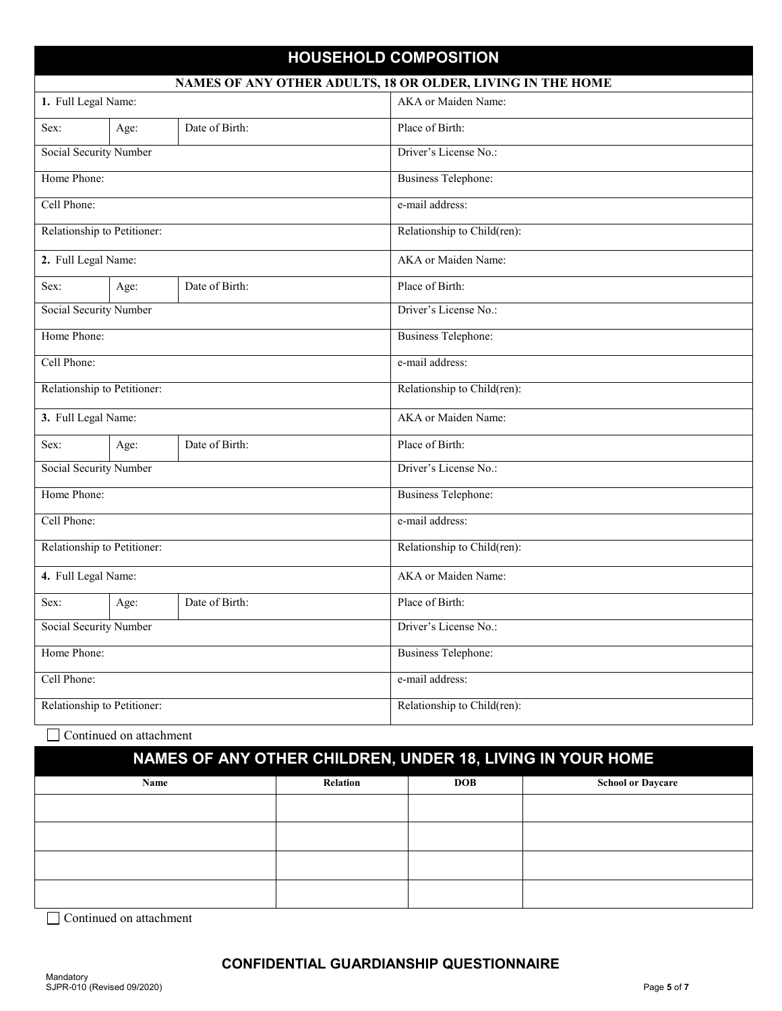#### **HOUSEHOLD COMPOSITION**

| NAMES OF ANY OTHER ADULTS, 18 OR OLDER, LIVING IN THE HOME |      |                |                             |  |
|------------------------------------------------------------|------|----------------|-----------------------------|--|
| 1. Full Legal Name:                                        |      |                | AKA or Maiden Name:         |  |
| Sex:                                                       | Age: | Date of Birth: | Place of Birth:             |  |
| <b>Social Security Number</b>                              |      |                | Driver's License No.:       |  |
| Home Phone:                                                |      |                | <b>Business Telephone:</b>  |  |
| Cell Phone:                                                |      |                | e-mail address:             |  |
| Relationship to Petitioner:                                |      |                | Relationship to Child(ren): |  |
| 2. Full Legal Name:                                        |      |                | AKA or Maiden Name:         |  |
| Sex:                                                       | Age: | Date of Birth: | Place of Birth:             |  |
| Social Security Number                                     |      |                | Driver's License No.:       |  |
| Home Phone:                                                |      |                | <b>Business Telephone:</b>  |  |
| Cell Phone:                                                |      |                | e-mail address:             |  |
| Relationship to Petitioner:                                |      |                | Relationship to Child(ren): |  |
| 3. Full Legal Name:                                        |      |                | AKA or Maiden Name:         |  |
| Sex:                                                       | Age: | Date of Birth: | Place of Birth:             |  |
| Social Security Number                                     |      |                | Driver's License No.:       |  |
| Home Phone:                                                |      |                | <b>Business Telephone:</b>  |  |
| Cell Phone:                                                |      |                | e-mail address:             |  |
| Relationship to Petitioner:                                |      |                | Relationship to Child(ren): |  |
| 4. Full Legal Name:                                        |      |                | AKA or Maiden Name:         |  |
| Sex:                                                       | Age: | Date of Birth: | Place of Birth:             |  |
| Social Security Number                                     |      |                | Driver's License No.:       |  |
| Home Phone:                                                |      |                | <b>Business Telephone:</b>  |  |
| Cell Phone:                                                |      |                | e-mail address:             |  |
| Relationship to Petitioner:                                |      |                | Relationship to Child(ren): |  |

□ Continued on attachment

# **NAMES OF ANY OTHER CHILDREN, UNDER 18, LIVING IN YOUR HOME**

| Name | Relation | <b>DOB</b> | <b>School or Daycare</b> |
|------|----------|------------|--------------------------|
|      |          |            |                          |
|      |          |            |                          |
|      |          |            |                          |
|      |          |            |                          |

Continued on attachment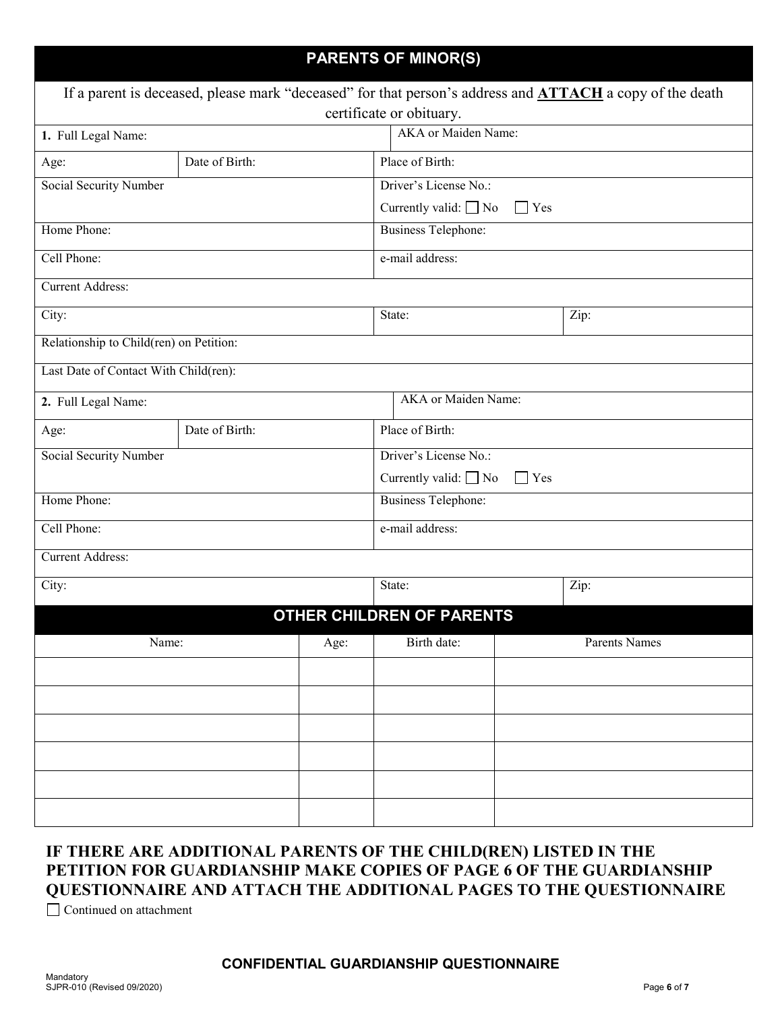| <b>PARENTS OF MINOR(S)</b>                                                                                                                  |                |             |                                          |                     |      |  |
|---------------------------------------------------------------------------------------------------------------------------------------------|----------------|-------------|------------------------------------------|---------------------|------|--|
| If a parent is deceased, please mark "deceased" for that person's address and <b>ATTACH</b> a copy of the death<br>certificate or obituary. |                |             |                                          |                     |      |  |
| 1. Full Legal Name:                                                                                                                         |                |             |                                          | AKA or Maiden Name: |      |  |
| Age:                                                                                                                                        | Date of Birth: |             | Place of Birth:                          |                     |      |  |
| <b>Social Security Number</b>                                                                                                               |                |             | Driver's License No.:                    |                     |      |  |
|                                                                                                                                             |                |             | Currently valid: $\Box$ No<br>$\Box$ Yes |                     |      |  |
| Home Phone:                                                                                                                                 |                |             | <b>Business Telephone:</b>               |                     |      |  |
| Cell Phone:                                                                                                                                 |                |             | e-mail address:                          |                     |      |  |
| <b>Current Address:</b>                                                                                                                     |                |             |                                          |                     |      |  |
| $\overline{C}$ ity:                                                                                                                         |                |             | State:                                   |                     | Zip: |  |
| Relationship to Child(ren) on Petition:                                                                                                     |                |             |                                          |                     |      |  |
| Last Date of Contact With Child(ren):                                                                                                       |                |             |                                          |                     |      |  |
| 2. Full Legal Name:                                                                                                                         |                |             | AKA or Maiden Name:                      |                     |      |  |
| Age:                                                                                                                                        | Date of Birth: |             | Place of Birth:                          |                     |      |  |
| Social Security Number                                                                                                                      |                |             | Driver's License No.:                    |                     |      |  |
|                                                                                                                                             |                |             | Currently valid: $\Box$ No               | $\Box$ Yes          |      |  |
| Home Phone:                                                                                                                                 |                |             | <b>Business Telephone:</b>               |                     |      |  |
| Cell Phone:                                                                                                                                 |                |             | e-mail address:                          |                     |      |  |
| <b>Current Address:</b>                                                                                                                     |                |             |                                          |                     |      |  |
| City:                                                                                                                                       |                |             | State:                                   |                     | Zip: |  |
|                                                                                                                                             |                |             | OTHER CHILDREN OF PARENTS                |                     |      |  |
| Name:<br>Age:                                                                                                                               |                | Birth date: |                                          | Parents Names       |      |  |
|                                                                                                                                             |                |             |                                          |                     |      |  |
|                                                                                                                                             |                |             |                                          |                     |      |  |
|                                                                                                                                             |                |             |                                          |                     |      |  |
|                                                                                                                                             |                |             |                                          |                     |      |  |
|                                                                                                                                             |                |             |                                          |                     |      |  |
|                                                                                                                                             |                |             |                                          |                     |      |  |

### **IF THERE ARE ADDITIONAL PARENTS OF THE CHILD(REN) LISTED IN THE PETITION FOR GUARDIANSHIP MAKE COPIES OF PAGE 6 OF THE GUARDIANSHIP QUESTIONNAIRE AND ATTACH THE ADDITIONAL PAGES TO THE QUESTIONNAIRE**

Continued on attachment